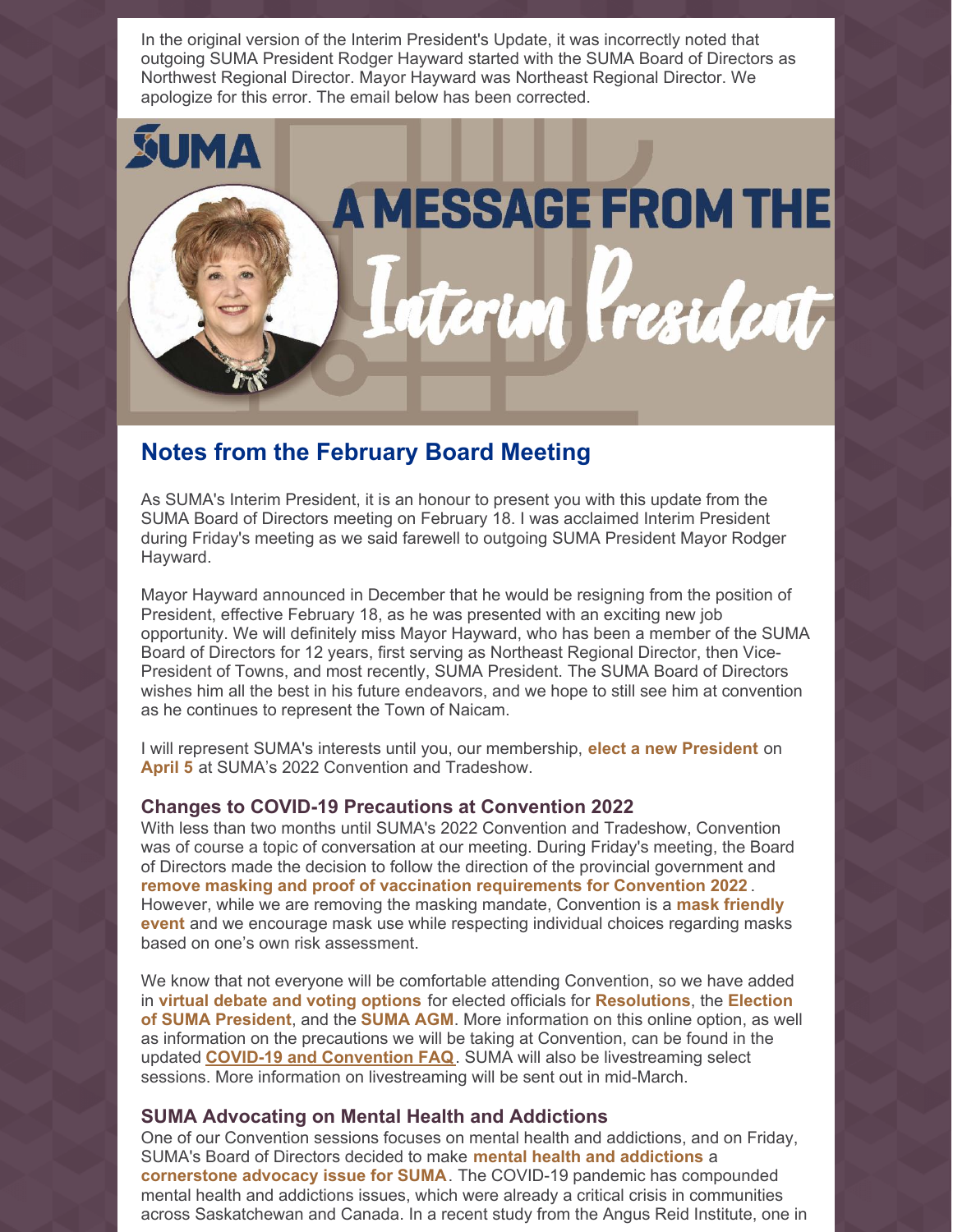

## **Notes from the February Board Meeting**

As SUMA's Interim President, it is an honour to present you with this update from the SUMA Board of Directors meeting on February 18. I was acclaimed Interim President during Friday's meeting as we said farewell to outgoing SUMA President Mayor Rodger Hayward.

Mayor Hayward announced in December that he would be resigning from the position of President, effective February 18, as he was presented with an exciting new job opportunity. We will definitely miss Mayor Hayward, who has been a member of the SUMA Board of Directors for 12 years, first serving as Northeast Regional Director, then Vice-President of Towns, and most recently, SUMA President. The SUMA Board of Directors wishes him all the best in his future endeavors, and we hope to still see him at convention as he continues to represent the Town of Naicam.

I will represent SUMA's interests until you, our membership, **elect a new President** on **April 5** at SUMA's 2022 Convention and Tradeshow.

## **Changes to COVID-19 Precautions at Convention 2022**

With less than two months until SUMA's 2022 Convention and Tradeshow, Convention was of course a topic of conversation at our meeting. During Friday's meeting, the Board of Directors made the decision to follow the direction of the provincial government and **remove masking and proof of vaccination requirements for Convention 2022** . However, while we are removing the masking mandate, Convention is a **mask friendly event** and we encourage mask use while respecting individual choices regarding masks based on one's own risk assessment.

We know that not everyone will be comfortable attending Convention, so we have added in **virtual debate and voting options** for elected officials for **Resolutions**, the **Election of SUMA President**, and the **SUMA AGM**. More information on this online option, as well as information on the precautions we will be taking at Convention, can be found in the updated **COVID-19 and [Convention](https://suma.org/pub/doc/covid19_convention_faq.pdf) FAQ**. SUMA will also be livestreaming select sessions. More information on livestreaming will be sent out in mid-March.

## **SUMA Advocating on Mental Health and Addictions**

One of our Convention sessions focuses on mental health and addictions, and on Friday, SUMA's Board of Directors decided to make **mental health and addictions** a **cornerstone advocacy issue for SUMA**. The COVID-19 pandemic has compounded mental health and addictions issues, which were already a critical crisis in communities across Saskatchewan and Canada. In a recent study from the Angus Reid Institute, one in